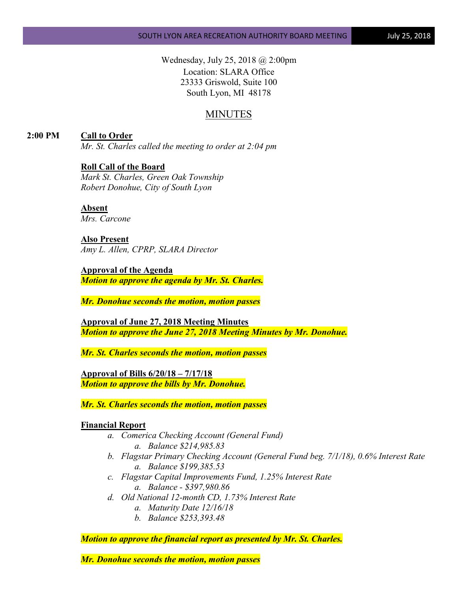Wednesday, July 25, 2018 @ 2:00pm Location: SLARA Office 23333 Griswold, Suite 100 South Lyon, MI 48178

# MINUTES

**2:00 PM Call to Order**

*Mr. St. Charles called the meeting to order at 2:04 pm*

# **Roll Call of the Board**

*Mark St. Charles, Green Oak Township Robert Donohue, City of South Lyon*

**Absent** *Mrs. Carcone*

**Also Present** *Amy L. Allen, CPRP, SLARA Director*

**Approval of the Agenda** *Motion to approve the agenda by Mr. St. Charles.*

*Mr. Donohue seconds the motion, motion passes*

**Approval of June 27, 2018 Meeting Minutes** *Motion to approve the June 27, 2018 Meeting Minutes by Mr. Donohue.*

*Mr. St. Charles seconds the motion, motion passes*

**Approval of Bills 6/20/18 – 7/17/18** *Motion to approve the bills by Mr. Donohue.*

*Mr. St. Charles seconds the motion, motion passes*

# **Financial Report**

- *a. Comerica Checking Account (General Fund) a. Balance \$214,985.83*
- *b. Flagstar Primary Checking Account (General Fund beg. 7/1/18), 0.6% Interest Rate a. Balance \$199,385.53*
- *c. Flagstar Capital Improvements Fund, 1.25% Interest Rate a. Balance - \$397,980.86*
- *d. Old National 12-month CD, 1.73% Interest Rate*
	- *a. Maturity Date 12/16/18*
	- *b. Balance \$253,393.48*

*Motion to approve the financial report as presented by Mr. St. Charles.*

*Mr. Donohue seconds the motion, motion passes*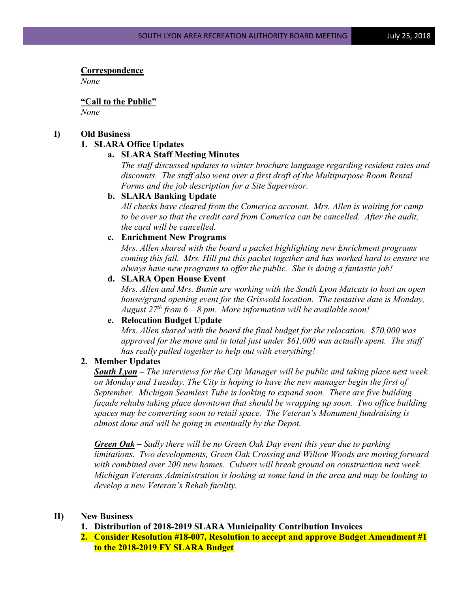# **Correspondence**

*None*

**"Call to the Public"** *None*

# **I) Old Business**

# **1. SLARA Office Updates**

# **a. SLARA Staff Meeting Minutes**

*The staff discussed updates to winter brochure language regarding resident rates and discounts. The staff also went over a first draft of the Multipurpose Room Rental Forms and the job description for a Site Supervisor.*

### **b. SLARA Banking Update**

*All checks have cleared from the Comerica account. Mrs. Allen is waiting for camp to be over so that the credit card from Comerica can be cancelled. After the audit, the card will be cancelled.*

### **c. Enrichment New Programs**

*Mrs. Allen shared with the board a packet highlighting new Enrichment programs coming this fall. Mrs. Hill put this packet together and has worked hard to ensure we always have new programs to offer the public. She is doing a fantastic job!*

# **d. SLARA Open House Event**

*Mrs. Allen and Mrs. Bunin are working with the South Lyon Matcats to host an open house/grand opening event for the Griswold location. The tentative date is Monday, August 27th from 6 – 8 pm. More information will be available soon!*

# **e. Relocation Budget Update**

*Mrs. Allen shared with the board the final budget for the relocation. \$70,000 was approved for the move and in total just under \$61,000 was actually spent. The staff has really pulled together to help out with everything!*

# **2. Member Updates**

*South Lyon – The interviews for the City Manager will be public and taking place next week on Monday and Tuesday. The City is hoping to have the new manager begin the first of September. Michigan Seamless Tube is looking to expand soon. There are five building façade rehabs taking place downtown that should be wrapping up soon. Two office building spaces may be converting soon to retail space. The Veteran's Monument fundraising is almost done and will be going in eventually by the Depot.*

*Green Oak – Sadly there will be no Green Oak Day event this year due to parking limitations. Two developments, Green Oak Crossing and Willow Woods are moving forward with combined over 200 new homes. Culvers will break ground on construction next week. Michigan Veterans Administration is looking at some land in the area and may be looking to develop a new Veteran's Rehab facility.*

# **II) New Business**

- **1. Distribution of 2018-2019 SLARA Municipality Contribution Invoices**
- **2. Consider Resolution #18-007, Resolution to accept and approve Budget Amendment #1 to the 2018-2019 FY SLARA Budget**